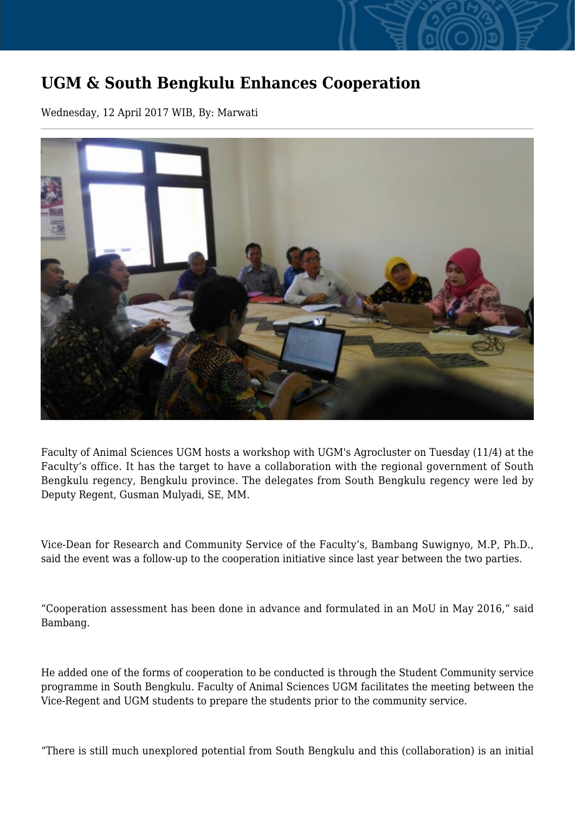## **UGM & South Bengkulu Enhances Cooperation**

Wednesday, 12 April 2017 WIB, By: Marwati



Faculty of Animal Sciences UGM hosts a workshop with UGM's Agrocluster on Tuesday (11/4) at the Faculty's office. It has the target to have a collaboration with the regional government of South Bengkulu regency, Bengkulu province. The delegates from South Bengkulu regency were led by Deputy Regent, Gusman Mulyadi, SE, MM.

Vice-Dean for Research and Community Service of the Faculty's, Bambang Suwignyo, M.P, Ph.D., said the event was a follow-up to the cooperation initiative since last year between the two parties.

"Cooperation assessment has been done in advance and formulated in an MoU in May 2016," said Bambang.

He added one of the forms of cooperation to be conducted is through the Student Community service programme in South Bengkulu. Faculty of Animal Sciences UGM facilitates the meeting between the Vice-Regent and UGM students to prepare the students prior to the community service.

"There is still much unexplored potential from South Bengkulu and this (collaboration) is an initial